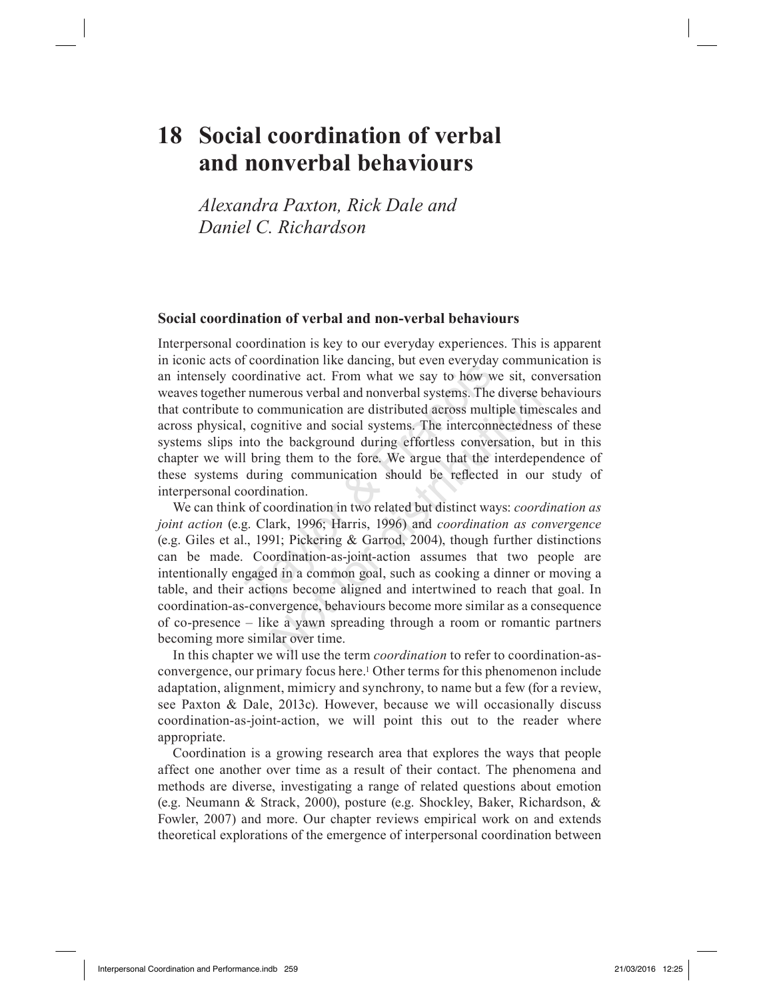# **18 Social coordination of verbal and nonverbal behaviours**

*Alexandra Paxton, Rick Dale and Daniel C. Richardson*

# **Social coordination of verbal and non-verbal behaviours**

Interpersonal coordination is key to our everyday experiences. This is apparent in iconic acts of coordination like dancing, but even everyday communication is an intensely coordinative act. From what we say to how we sit, conversation weaves together numerous verbal and nonverbal systems. The diverse behaviours that contribute to communication are distributed across multiple timescales and across physical, cognitive and social systems. The interconnectedness of these systems slips into the background during effortless conversation, but in this chapter we will bring them to the fore. We argue that the interdependence of these systems during communication should be refected in our study of interpersonal coordination. coordination like dateling, out even everyday<br>ordinative act. From what we say to how we<br>runnerous verbal and nonverbal systems. The cit<br>to communication are distributed across multit<br>, cognitive and social systems. The in

We can think of coordination in two related but distinct ways: *coordination as joint action* (e.g. Clark, 1996; Harris, 1996) and *coordination as convergence*  (e.g. Giles et al., 1991; Pickering & Garrod, 2004), though further distinctions can be made. Coordination-as-joint-action assumes that two people are intentionally engaged in a common goal, such as cooking a dinner or moving a table, and their actions become aligned and intertwined to reach that goal. In coordination-as-convergence, behaviours become more similar as a consequence of co-presence – like a yawn spreading through a room or romantic partners becoming more similar over time. nerous verbal and nonverbal systems. The diverse immunication are distributed across multiple time<br>nitive and social systems. The interconnectednes<br>he background during effortless conversation, 1<br>ng them to the fore. We ar

In this chapter we will use the term *coordination* to refer to coordination-asconvergence, our primary focus here.1 Other terms for this phenomenon include adaptation, alignment, mimicry and synchrony, to name but a few (for a review, see Paxton & Dale, 2013c). However, because we will occasionally discuss coordination-as-joint-action, we will point this out to the reader where appropriate.

Coordination is a growing research area that explores the ways that people affect one another over time as a result of their contact. The phenomena and methods are diverse, investigating a range of related questions about emotion (e.g. Neumann & Strack, 2000), posture (e.g. Shockley, Baker, Richardson, & Fowler, 2007) and more. Our chapter reviews empirical work on and extends theoretical explorations of the emergence of interpersonal coordination between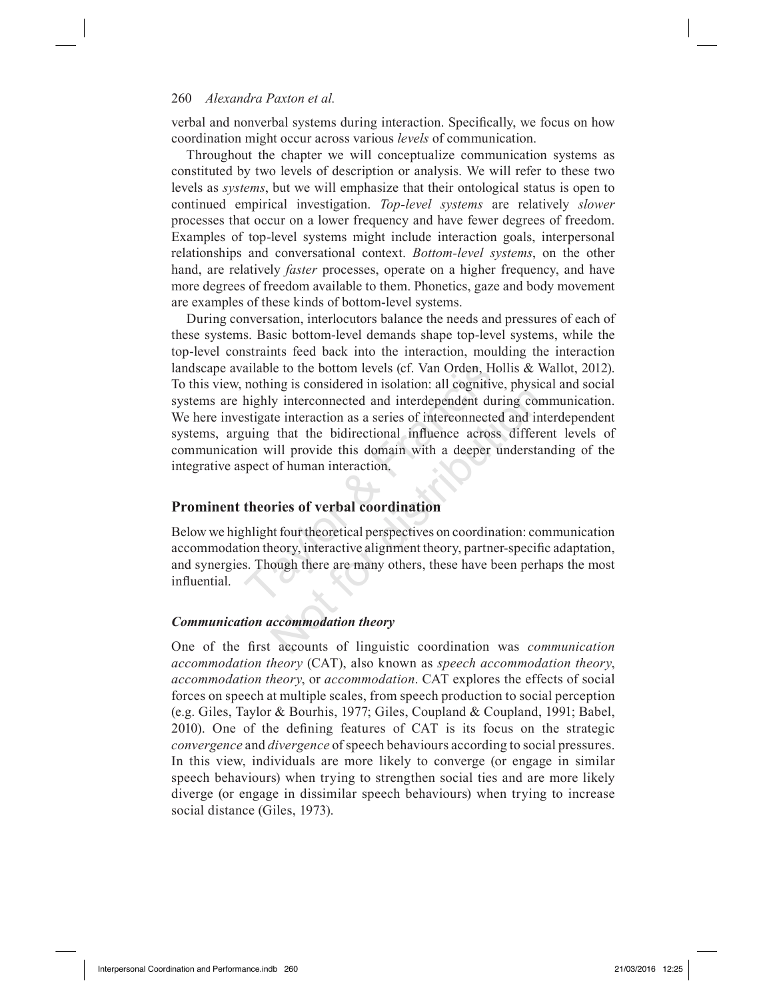verbal and nonverbal systems during interaction. Specifcally, we focus on how coordination might occur across various *levels* of communication.

Throughout the chapter we will conceptualize communication systems as constituted by two levels of description or analysis. We will refer to these two levels as *systems*, but we will emphasize that their ontological status is open to continued empirical investigation. *Top-level systems* are relatively *slower* processes that occur on a lower frequency and have fewer degrees of freedom. Examples of top-level systems might include interaction goals, interpersonal relationships and conversational context. *Bottom-level systems*, on the other hand, are relatively *faster* processes, operate on a higher frequency, and have more degrees of freedom available to them. Phonetics, gaze and body movement are examples of these kinds of bottom-level systems.

During conversation, interlocutors balance the needs and pressures of each of these systems. Basic bottom-level demands shape top-level systems, while the top-level constraints feed back into the interaction, moulding the interaction landscape available to the bottom levels (cf. Van Orden, Hollis & Wallot, 2012). To this view, nothing is considered in isolation: all cognitive, physical and social systems are highly interconnected and interdependent during communication. We here investigate interaction as a series of interconnected and interdependent systems, arguing that the bidirectional infuence across different levels of communication will provide this domain with a deeper understanding of the integrative aspect of human interaction. ailable to the bottom levels (cf. Van Orden, Ho<br>nothing is considered in isolation: all cognitive<br>highly interconnected and interdependent dur<br>stigate interaction as a series of interconnected<br>uing that the bidirectional i The consideration is a series of interconnected and interdependent during correlated and interdependent during correlated and in that the bidirectional influence across differed in that the bidirectional influence across d

# **Prominent theories of verbal coordination**

Below we highlight four theoretical perspectives on coordination: communication accommodation theory, interactive alignment theory, partner-specifc adaptation, and synergies. Though there are many others, these have been perhaps the most infuential.

#### *Communication accommodation theory*

One of the frst accounts of linguistic coordination was *communication accommodation theory* (CAT), also known as *speech accommodation theory*, *accommodation theory*, or *accommodation*. CAT explores the effects of social forces on speech at multiple scales, from speech production to social perception (e.g. Giles, Taylor & Bourhis, 1977; Giles, Coupland & Coupland, 1991; Babel, 2010). One of the defning features of CAT is its focus on the strategic *convergence* and *divergence* of speech behaviours according to social pressures. In this view, individuals are more likely to converge (or engage in similar speech behaviours) when trying to strengthen social ties and are more likely diverge (or engage in dissimilar speech behaviours) when trying to increase social distance (Giles, 1973).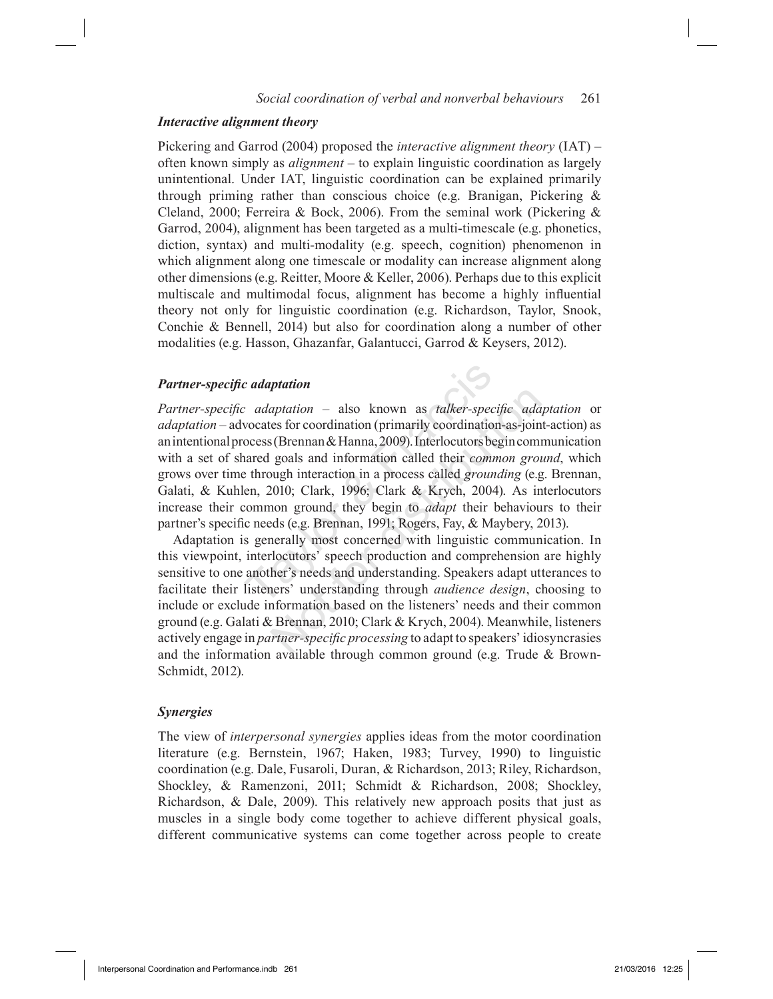#### *Interactive alignment theory*

Pickering and Garrod (2004) proposed the *interactive alignment theory* (IAT) – often known simply as *alignment* – to explain linguistic coordination as largely unintentional. Under IAT, linguistic coordination can be explained primarily through priming rather than conscious choice (e.g. Branigan, Pickering  $\&$ Cleland, 2000; Ferreira & Bock, 2006). From the seminal work (Pickering  $\&$ Garrod, 2004), alignment has been targeted as a multi-timescale (e.g. phonetics, diction, syntax) and multi-modality (e.g. speech, cognition) phenomenon in which alignment along one timescale or modality can increase alignment along other dimensions (e.g. Reitter, Moore & Keller, 2006). Perhaps due to this explicit multiscale and multimodal focus, alignment has become a highly infuential theory not only for linguistic coordination (e.g. Richardson, Taylor, Snook, Conchie & Bennell, 2014) but also for coordination along a number of other modalities (e.g. Hasson, Ghazanfar, Galantucci, Garrod & Keysers, 2012).

# *Partner-specifc adaptation*

*Partner-specifc adaptation* – also known as *talker-specifc adaptation* or *adaptation* – advocates for coordination (primarily coordination-as-joint-action) as an intentional process (Brennan & Hanna, 2009). Interlocutors begin communication with a set of shared goals and information called their *common ground*, which grows over time through interaction in a process called *grounding* (e.g. Brennan, Galati, & Kuhlen, 2010; Clark, 1996; Clark & Krych, 2004). As interlocutors increase their common ground, they begin to *adapt* their behaviours to their partner's specifc needs (e.g. Brennan, 1991; Rogers, Fay, & Maybery, 2013). *c adaptation* – also known as *talker-specif*<br> *condition* – also known as *talker-specif*<br>
vocates for coordination (primarily coordination<br>
ocess (Brennan & Hanna, 2009). Interlocutors begared goals and information *aptation* – also known as *talker-specific ada*, es for coordination (primarily coordination-as-join (Brennan & Hanna, 2009). Interlocutors begin comm goals and information called their *common grou* uygh interaction in

Adaptation is generally most concerned with linguistic communication. In this viewpoint, interlocutors' speech production and comprehension are highly sensitive to one another's needs and understanding. Speakers adapt utterances to facilitate their listeners' understanding through *audience design*, choosing to include or exclude information based on the listeners' needs and their common ground (e.g. Galati & Brennan, 2010; Clark & Krych, 2004). Meanwhile, listeners actively engage in *partner-specifc processing* to adapt to speakers' idiosyncrasies and the information available through common ground (e.g. Trude & Brown-Schmidt, 2012).

## *Synergies*

The view of *interpersonal synergies* applies ideas from the motor coordination literature (e.g. Bernstein, 1967; Haken, 1983; Turvey, 1990) to linguistic coordination (e.g. Dale, Fusaroli, Duran, & Richardson, 2013; Riley, Richardson, Shockley, & Ramenzoni, 2011; Schmidt & Richardson, 2008; Shockley, Richardson, & Dale, 2009). This relatively new approach posits that just as muscles in a single body come together to achieve different physical goals, different communicative systems can come together across people to create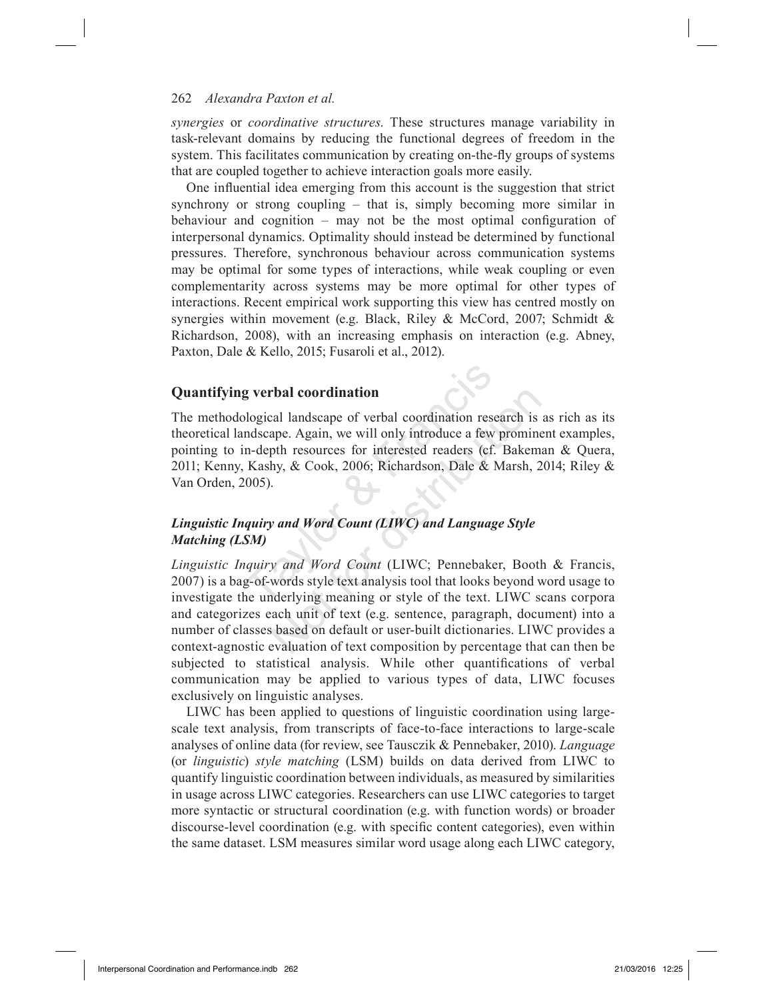*synergies* or *coordinative structures*. These structures manage variability in task-relevant domains by reducing the functional degrees of freedom in the system. This facilitates communication by creating on-the-fy groups of systems that are coupled together to achieve interaction goals more easily.

One infuential idea emerging from this account is the suggestion that strict synchrony or strong coupling – that is, simply becoming more similar in behaviour and cognition – may not be the most optimal confguration of interpersonal dynamics. Optimality should instead be determined by functional pressures. Therefore, synchronous behaviour across communication systems may be optimal for some types of interactions, while weak coupling or even complementarity across systems may be more optimal for other types of interactions. Recent empirical work supporting this view has centred mostly on synergies within movement (e.g. Black, Riley & McCord, 2007; Schmidt & Richardson, 2008), with an increasing emphasis on interaction (e.g. Abney, Paxton, Dale & Kello, 2015; Fusaroli et al., 2012).

## **Quantifying verbal coordination**

The methodological landscape of verbal coordination research is as rich as its theoretical landscape. Again, we will only introduce a few prominent examples, pointing to in-depth resources for interested readers (cf. Bakeman & Quera, 2011; Kenny, Kashy, & Cook, 2006; Richardson, Dale & Marsh, 2014; Riley & Van Orden, 2005). g verbal coordination<br>
blogical landscape of verbal coordination resear<br>
mdscape. Again, we will only introduce a few p<br>
n-depth resources for interested readers (cf.<br>
Kashy, & Cook, 2006; Richardson, Dale & M<br>
0005).<br>
qui

# *Linguistic Inquiry and Word Count (LIWC) and Language Style Matching (LSM)*

*Linguistic Inquiry and Word Count* (LIWC; Pennebaker, Booth & Francis, 2007) is a bag-of-words style text analysis tool that looks beyond word usage to investigate the underlying meaning or style of the text. LIWC scans corpora and categorizes each unit of text (e.g. sentence, paragraph, document) into a number of classes based on default or user-built dictionaries. LIWC provides a context-agnostic evaluation of text composition by percentage that can then be subjected to statistical analysis. While other quantifcations of verbal communication may be applied to various types of data, LIWC focuses exclusively on linguistic analyses. **Consumered Example 15**<br>cal landscape of verbal coordination research is<br>ape. Again, we will only introduce a few promine<br>pth resources for interested readers (cf. Bakem,<br>hy, & Cook, 2006; Richardson, Dale & Marsh, 2<br>.<br>w

LIWC has been applied to questions of linguistic coordination using largescale text analysis, from transcripts of face-to-face interactions to large-scale analyses of online data (for review, see Tausczik & Pennebaker, 2010). *Language*  (or *linguistic*) *style matching* (LSM) builds on data derived from LIWC to quantify linguistic coordination between individuals, as measured by similarities in usage across LIWC categories. Researchers can use LIWC categories to target more syntactic or structural coordination (e.g. with function words) or broader discourse-level coordination (e.g. with specifc content categories), even within the same dataset. LSM measures similar word usage along each LIWC category,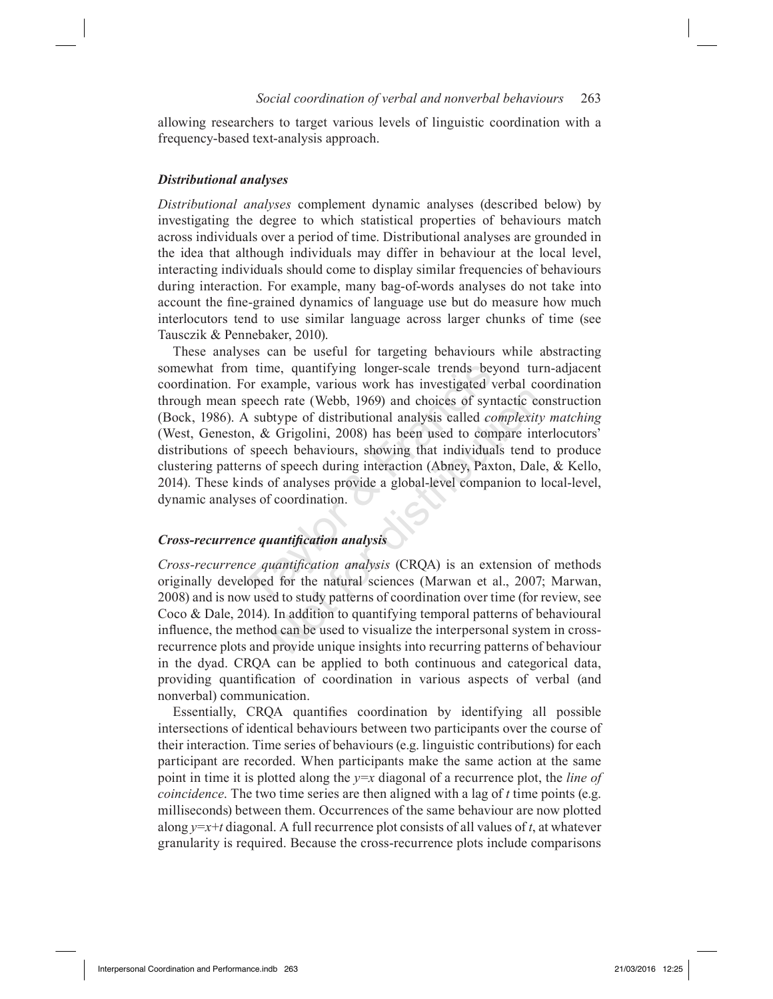allowing researchers to target various levels of linguistic coordination with a frequency-based text-analysis approach.

#### *Distributional analyses*

*Distributional analyses* complement dynamic analyses (described below) by investigating the degree to which statistical properties of behaviours match across individuals over a period of time. Distributional analyses are grounded in the idea that although individuals may differ in behaviour at the local level, interacting individuals should come to display similar frequencies of behaviours during interaction. For example, many bag-of-words analyses do not take into account the fne-grained dynamics of language use but do measure how much interlocutors tend to use similar language across larger chunks of time (see Tausczik & Pennebaker, 2010).

These analyses can be useful for targeting behaviours while abstracting somewhat from time, quantifying longer-scale trends beyond turn-adjacent coordination. For example, various work has investigated verbal coordination through mean speech rate (Webb, 1969) and choices of syntactic construction (Bock, 1986). A subtype of distributional analysis called *complexity matching*  (West, Geneston, & Grigolini, 2008) has been used to compare interlocutors' distributions of speech behaviours, showing that individuals tend to produce clustering patterns of speech during interaction (Abney, Paxton, Dale, & Kello, 2014). These kinds of analyses provide a global-level companion to local-level, dynamic analyses of coordination. 1 time, quantifying longer-scale trends beyout controlled the speech rate (Webb, 1969) and choices of synther speech rate (Webb, 1969) and choices of synther absorption and a Subtype of distributional analysis called *con* many of Webb, 1969) and choices of syntactic complexity<br>of distributional analysis called *complexity*<br>Grigolini, 2008) has been used to compare intecht behaviours, showing that individuals tend to<br>f speech during interact

# *Cross-recurrence quantifcation analysis*

*Cross-recurrence quantifcation analysis* (CRQA) is an extension of methods originally developed for the natural sciences (Marwan et al., 2007; Marwan, 2008) and is now used to study patterns of coordination over time (for review, see Coco & Dale, 2014). In addition to quantifying temporal patterns of behavioural infuence, the method can be used to visualize the interpersonal system in crossrecurrence plots and provide unique insights into recurring patterns of behaviour in the dyad. CRQA can be applied to both continuous and categorical data, providing quantifcation of coordination in various aspects of verbal (and nonverbal) communication.

Essentially, CRQA quantifes coordination by identifying all possible intersections of identical behaviours between two participants over the course of their interaction. Time series of behaviours (e.g. linguistic contributions) for each participant are recorded. When participants make the same action at the same point in time it is plotted along the *y*=*x* diagonal of a recurrence plot, the *line of coincidence*. The two time series are then aligned with a lag of *t* time points (e.g. milliseconds) between them. Occurrences of the same behaviour are now plotted along  $y=x+t$  diagonal. A full recurrence plot consists of all values of *t*, at whatever granularity is required. Because the cross-recurrence plots include comparisons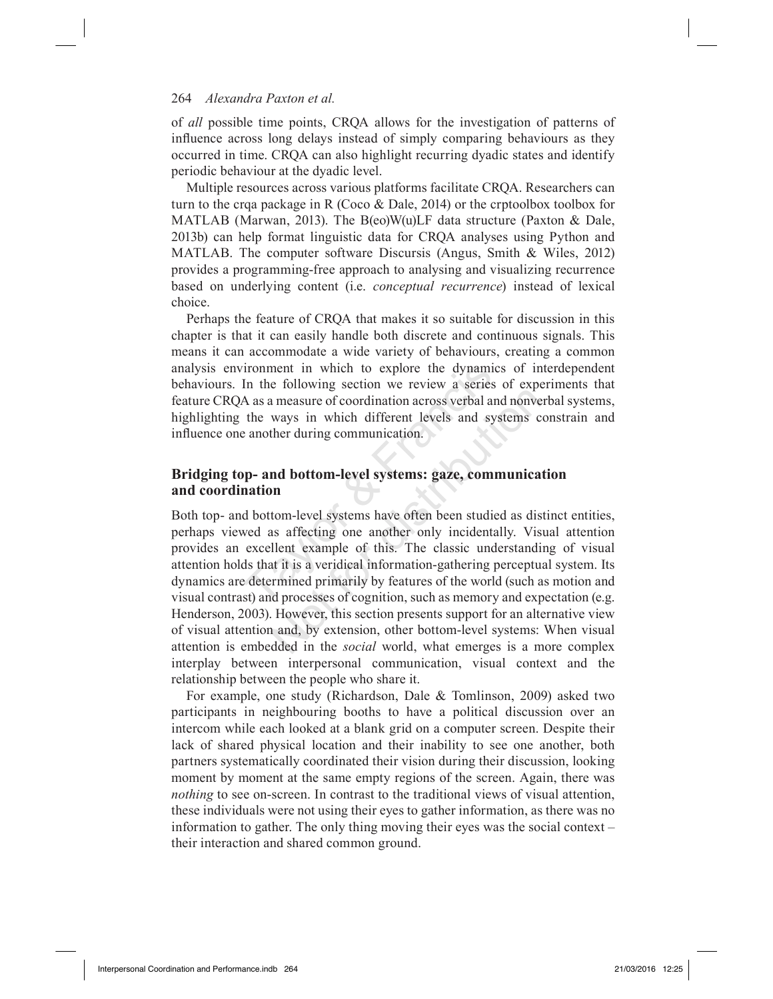of *all* possible time points, CRQA allows for the investigation of patterns of infuence across long delays instead of simply comparing behaviours as they occurred in time. CRQA can also highlight recurring dyadic states and identify periodic behaviour at the dyadic level.

Multiple resources across various platforms facilitate CRQA. Researchers can turn to the crqa package in R (Coco & Dale, 2014) or the crptoolbox toolbox for MATLAB (Marwan, 2013). The B(eo)W(u)LF data structure (Paxton & Dale, 2013b) can help format linguistic data for CRQA analyses using Python and MATLAB. The computer software Discursis (Angus, Smith & Wiles, 2012) provides a programming-free approach to analysing and visualizing recurrence based on underlying content (i.e. *conceptual recurrence*) instead of lexical choice.

Perhaps the feature of CRQA that makes it so suitable for discussion in this chapter is that it can easily handle both discrete and continuous signals. This means it can accommodate a wide variety of behaviours, creating a common analysis environment in which to explore the dynamics of interdependent behaviours. In the following section we review a series of experiments that feature CRQA as a measure of coordination across verbal and nonverbal systems, highlighting the ways in which different levels and systems constrain and infuence one another during communication.

# **Bridging top- and bottom-level systems: gaze, communication and coordination**

Both top- and bottom-level systems have often been studied as distinct entities, perhaps viewed as affecting one another only incidentally. Visual attention provides an excellent example of this. The classic understanding of visual attention holds that it is a veridical information-gathering perceptual system. Its dynamics are determined primarily by features of the world (such as motion and visual contrast) and processes of cognition, such as memory and expectation (e.g. Henderson, 2003). However, this section presents support for an alternative view of visual attention and, by extension, other bottom-level systems: When visual attention is embedded in the *social* world, what emerges is a more complex interplay between interpersonal communication, visual context and the relationship between the people who share it. ironment in which to explore the dynamics<br>
(In the following section we review a series<br>
A as a measure of coordination across verbal and<br>
the ways in which different levels and sys<br>
another during communication.<br> **p-** and The alternative and system and nonvertune of condition across verbal and nonvertung communication.<br> **In the alternative and systems condition**<br> **In distribution**<br> **In tom-level systems: gaze, communicary**<br> **In tom-level sy** 

For example, one study (Richardson, Dale & Tomlinson, 2009) asked two participants in neighbouring booths to have a political discussion over an intercom while each looked at a blank grid on a computer screen. Despite their lack of shared physical location and their inability to see one another, both partners systematically coordinated their vision during their discussion, looking moment by moment at the same empty regions of the screen. Again, there was *nothing* to see on-screen. In contrast to the traditional views of visual attention, these individuals were not using their eyes to gather information, as there was no information to gather. The only thing moving their eyes was the social context – their interaction and shared common ground.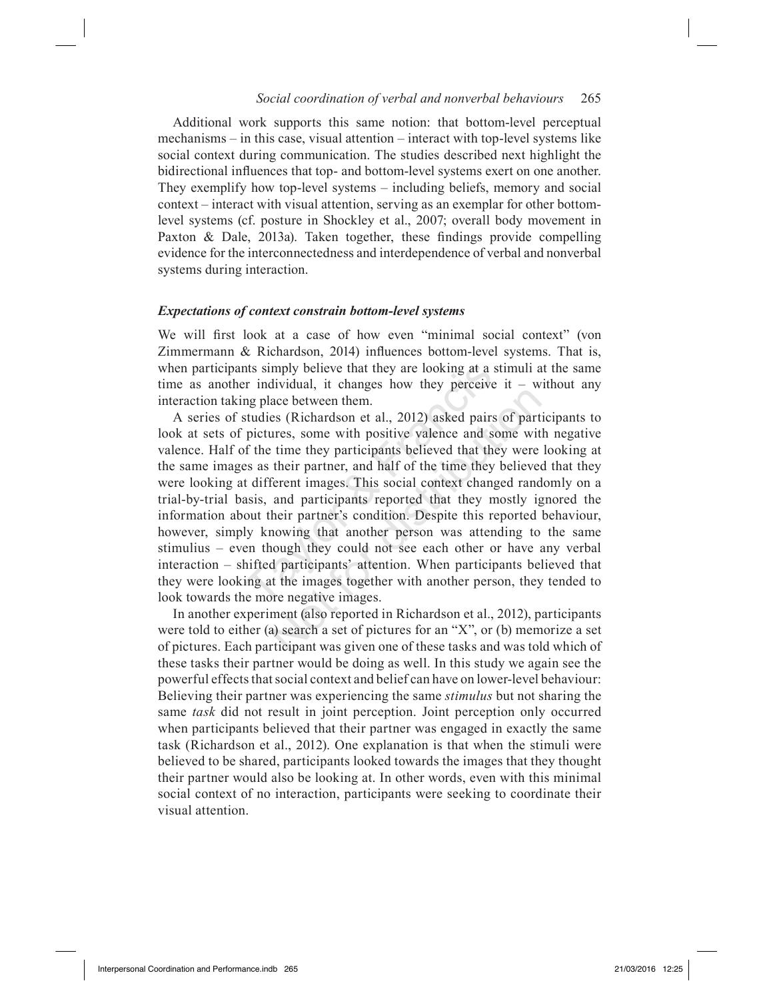#### *Social coordination of verbal and nonverbal behaviours* 265

Additional work supports this same notion: that bottom-level perceptual mechanisms – in this case, visual attention – interact with top-level systems like social context during communication. The studies described next highlight the bidirectional infuences that top- and bottom-level systems exert on one another. They exemplify how top-level systems – including beliefs, memory and social context – interact with visual attention, serving as an exemplar for other bottomlevel systems (cf. posture in Shockley et al., 2007; overall body movement in Paxton & Dale, 2013a). Taken together, these fndings provide compelling evidence for the interconnectedness and interdependence of verbal and nonverbal systems during interaction.

# *Expectations of context constrain bottom-level systems*

We will frst look at a case of how even "minimal social context" (von Zimmermann & Richardson, 2014) infuences bottom-level systems. That is, when participants simply believe that they are looking at a stimuli at the same time as another individual, it changes how they perceive it – without any interaction taking place between them.

A series of studies (Richardson et al., 2012) asked pairs of participants to look at sets of pictures, some with positive valence and some with negative valence. Half of the time they participants believed that they were looking at the same images as their partner, and half of the time they believed that they were looking at different images. This social context changed randomly on a trial-by-trial basis, and participants reported that they mostly ignored the information about their partner's condition. Despite this reported behaviour, however, simply knowing that another person was attending to the same stimulius – even though they could not see each other or have any verbal interaction – shifted participants' attention. When participants believed that they were looking at the images together with another person, they tended to look towards the more negative images. the simply believe that they are looking at a st<br>
or individual, it changes how they perceive<br>
mg place between them.<br>
studies (Richardson et al., 2012) asked pairs<br>
pictures, some with positive valence and solved<br>
of the archana, a changge heat angle presence in the<br>ace between them.<br>es (Richardson et al., 2012) asked pairs of part<br>tires, some with positive valence and some wit<br>time they participants believed that they were<br>their partner,

In another experiment (also reported in Richardson et al., 2012), participants were told to either (a) search a set of pictures for an "X", or (b) memorize a set of pictures. Each participant was given one of these tasks and was told which of these tasks their partner would be doing as well. In this study we again see the powerful effects that social context and belief can have on lower-level behaviour: Believing their partner was experiencing the same *stimulus* but not sharing the same *task* did not result in joint perception. Joint perception only occurred when participants believed that their partner was engaged in exactly the same task (Richardson et al., 2012). One explanation is that when the stimuli were believed to be shared, participants looked towards the images that they thought their partner would also be looking at. In other words, even with this minimal social context of no interaction, participants were seeking to coordinate their visual attention.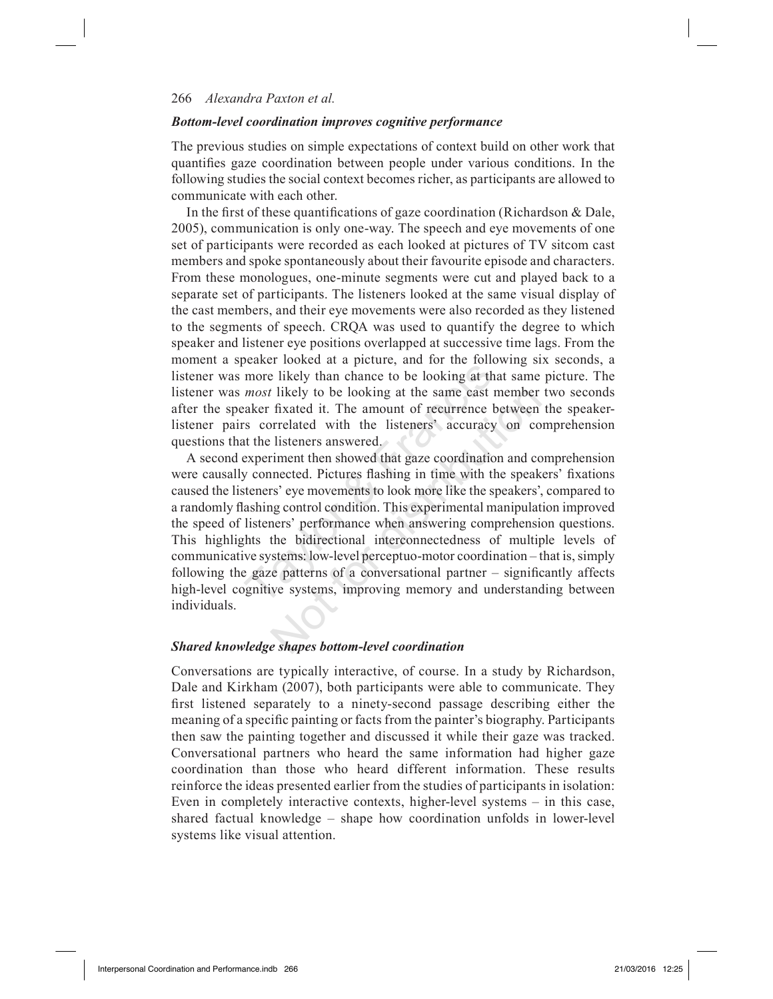#### *Bottom-level coordination improves cognitive performance*

The previous studies on simple expectations of context build on other work that quantifes gaze coordination between people under various conditions. In the following studies the social context becomes richer, as participants are allowed to communicate with each other.

In the first of these quantifications of gaze coordination (Richardson & Dale, 2005), communication is only one-way. The speech and eye movements of one set of participants were recorded as each looked at pictures of TV sitcom cast members and spoke spontaneously about their favourite episode and characters. From these monologues, one-minute segments were cut and played back to a separate set of participants. The listeners looked at the same visual display of the cast members, and their eye movements were also recorded as they listened to the segments of speech. CRQA was used to quantify the degree to which speaker and listener eye positions overlapped at successive time lags. From the moment a speaker looked at a picture, and for the following six seconds, a listener was more likely than chance to be looking at that same picture. The listener was *most* likely to be looking at the same cast member two seconds after the speaker fxated it. The amount of recurrence between the speakerlistener pairs correlated with the listeners' accuracy on comprehension questions that the listeners answered.

A second experiment then showed that gaze coordination and comprehension were causally connected. Pictures fashing in time with the speakers' fxations caused the listeners' eye movements to look more like the speakers', compared to a randomly fashing control condition. This experimental manipulation improved the speed of listeners' performance when answering comprehension questions. This highlights the bidirectional interconnectedness of multiple levels of communicative systems: low-level perceptuo-motor coordination – that is, simply following the gaze patterns of a conversational partner – signifcantly affects high-level cognitive systems, improving memory and understanding between individuals. between following at the booking at the holow<br>more likely than chance to be looking at tha<br>most likely to be looking at the same cast m<br>aker fixated it. The amount of recurrence be<br>s correlated with the listeners' accurac Example 1 ikely to be looking at the same cast member<br>fixated it. The amount of recurrence between<br>orrelated with the listeners' accuracy on co<br>listeners answered.<br>ciment then showed that gaze coordination and co<br>mected.

# *Shared knowledge shapes bottom-level coordination*

Conversations are typically interactive, of course. In a study by Richardson, Dale and Kirkham (2007), both participants were able to communicate. They frst listened separately to a ninety-second passage describing either the meaning of a specifc painting or facts from the painter's biography. Participants then saw the painting together and discussed it while their gaze was tracked. Conversational partners who heard the same information had higher gaze coordination than those who heard different information. These results reinforce the ideas presented earlier from the studies of participants in isolation: Even in completely interactive contexts, higher-level systems – in this case, shared factual knowledge – shape how coordination unfolds in lower-level systems like visual attention.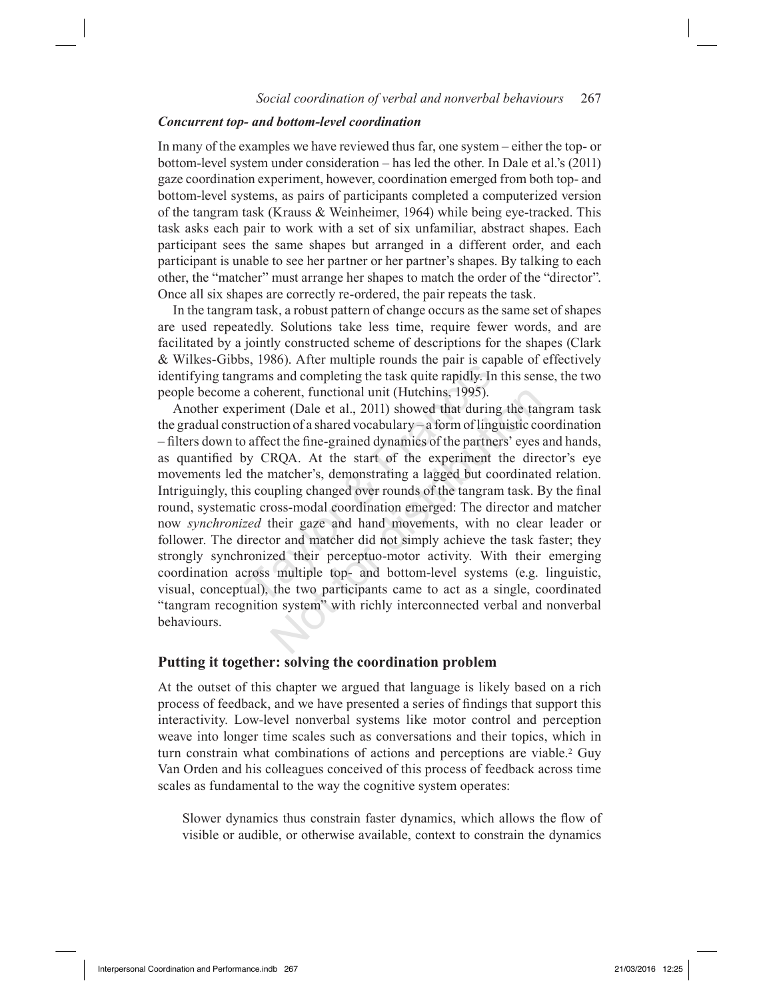#### *Concurrent top- and bottom-level coordination*

In many of the examples we have reviewed thus far, one system – either the top- or bottom-level system under consideration – has led the other. In Dale et al.'s (2011) gaze coordination experiment, however, coordination emerged from both top- and bottom-level systems, as pairs of participants completed a computerized version of the tangram task (Krauss & Weinheimer, 1964) while being eye-tracked. This task asks each pair to work with a set of six unfamiliar, abstract shapes. Each participant sees the same shapes but arranged in a different order, and each participant is unable to see her partner or her partner's shapes. By talking to each other, the "matcher" must arrange her shapes to match the order of the "director". Once all six shapes are correctly re-ordered, the pair repeats the task.

In the tangram task, a robust pattern of change occurs as the same set of shapes are used repeatedly. Solutions take less time, require fewer words, and are facilitated by a jointly constructed scheme of descriptions for the shapes (Clark & Wilkes-Gibbs, 1986). After multiple rounds the pair is capable of effectively identifying tangrams and completing the task quite rapidly. In this sense, the two people become a coherent, functional unit (Hutchins, 1995).

Another experiment (Dale et al., 2011) showed that during the tangram task the gradual construction of a shared vocabulary – a form of linguistic coordination – flters down to affect the fne-grained dynamics of the partners' eyes and hands, as quantifed by CRQA. At the start of the experiment the director's eye movements led the matcher's, demonstrating a lagged but coordinated relation. Intriguingly, this coupling changed over rounds of the tangram task. By the fnal round, systematic cross-modal coordination emerged: The director and matcher now *synchronized* their gaze and hand movements, with no clear leader or follower. The director and matcher did not simply achieve the task faster; they strongly synchronized their perceptuo-motor activity. With their emerging coordination across multiple top- and bottom-level systems (e.g. linguistic, visual, conceptual), the two participants came to act as a single, coordinated "tangram recognition system" with richly interconnected verbal and nonverbal behaviours. by, 1969). Their manipe roands are part is edge<br>trams and completing the task quite rapidly. In t<br>a coherent, functional unit (Hutchins, 1995).<br>eriment (Dale et al., 2011) showed that during<br>struction of a shared vocabular nerent, functional unit (Hutchins, 1995).<br>
ent (Dale et al., 2011) showed that during the tar<br>
tion of a shared vocabulary – a form of linguistic co<br>
ct the fine-grained dynamics of the partners' eyes<br>
RQA. At the start of

## **Putting it together: solving the coordination problem**

At the outset of this chapter we argued that language is likely based on a rich process of feedback, and we have presented a series of fndings that support this interactivity. Low-level nonverbal systems like motor control and perception weave into longer time scales such as conversations and their topics, which in turn constrain what combinations of actions and perceptions are viable.2 Guy Van Orden and his colleagues conceived of this process of feedback across time scales as fundamental to the way the cognitive system operates:

Slower dynamics thus constrain faster dynamics, which allows the fow of visible or audible, or otherwise available, context to constrain the dynamics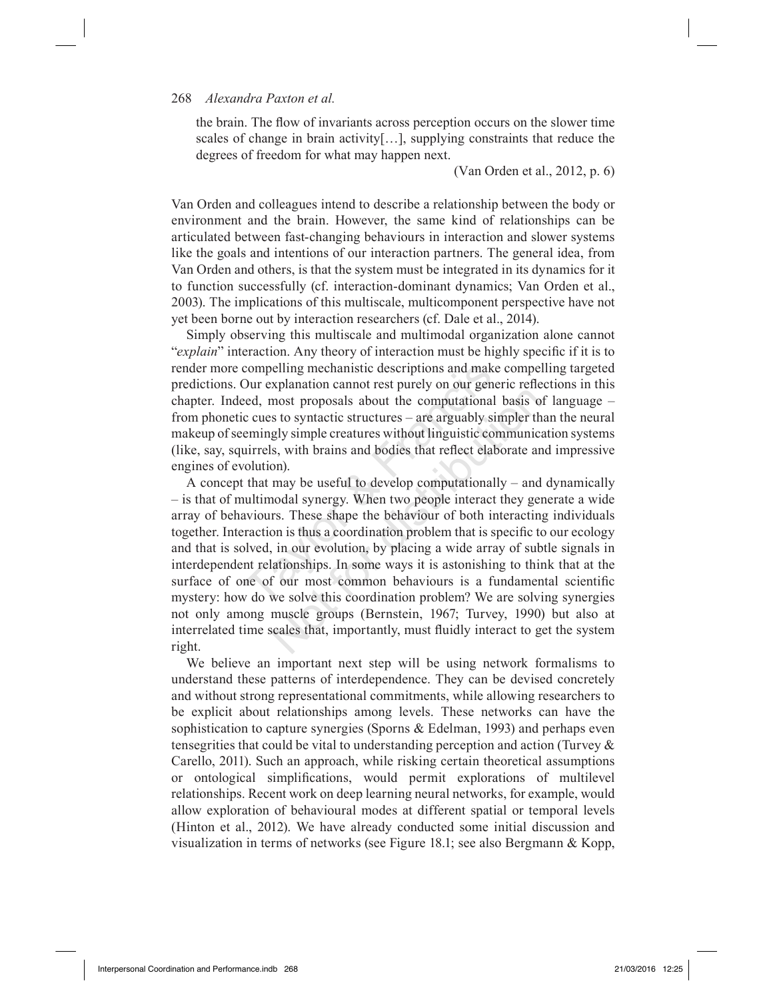the brain. The fow of invariants across perception occurs on the slower time scales of change in brain activity[…], supplying constraints that reduce the degrees of freedom for what may happen next.

(Van Orden et al., 2012, p. 6)

Van Orden and colleagues intend to describe a relationship between the body or environment and the brain. However, the same kind of relationships can be articulated between fast-changing behaviours in interaction and slower systems like the goals and intentions of our interaction partners. The general idea, from Van Orden and others, is that the system must be integrated in its dynamics for it to function successfully (cf. interaction-dominant dynamics; Van Orden et al., 2003). The implications of this multiscale, multicomponent perspective have not yet been borne out by interaction researchers (cf. Dale et al., 2014).

Simply observing this multiscale and multimodal organization alone cannot "*explain*" interaction. Any theory of interaction must be highly specifc if it is to render more compelling mechanistic descriptions and make compelling targeted predictions. Our explanation cannot rest purely on our generic refections in this chapter. Indeed, most proposals about the computational basis of language – from phonetic cues to syntactic structures – are arguably simpler than the neural makeup of seemingly simple creatures without linguistic communication systems (like, say, squirrels, with brains and bodies that refect elaborate and impressive engines of evolution).

A concept that may be useful to develop computationally – and dynamically – is that of multimodal synergy. When two people interact they generate a wide array of behaviours. These shape the behaviour of both interacting individuals together. Interaction is thus a coordination problem that is specifc to our ecology and that is solved, in our evolution, by placing a wide array of subtle signals in interdependent relationships. In some ways it is astonishing to think that at the surface of one of our most common behaviours is a fundamental scientifc mystery: how do we solve this coordination problem? We are solving synergies not only among muscle groups (Bernstein, 1967; Turvey, 1990) but also at interrelated time scales that, importantly, must fuidly interact to get the system right. compelling mechanistic descriptions and make<br>Our explanation cannot rest purely on our geneed, most proposals about the computational<br>c cues to syntactic structures – are arguably sin<br>emingly simple creatures without lingu most proposals about the computational basis of solon to syntactic structures – are arguably simpler the gly simple creatures without linguistic communicals, with brains and bodies that reflect elaborate an on).<br>
may be us

We believe an important next step will be using network formalisms to understand these patterns of interdependence. They can be devised concretely and without strong representational commitments, while allowing researchers to be explicit about relationships among levels. These networks can have the sophistication to capture synergies (Sporns & Edelman, 1993) and perhaps even tensegrities that could be vital to understanding perception and action (Turvey & Carello, 2011). Such an approach, while risking certain theoretical assumptions or ontological simplifcations, would permit explorations of multilevel relationships. Recent work on deep learning neural networks, for example, would allow exploration of behavioural modes at different spatial or temporal levels (Hinton et al., 2012). We have already conducted some initial discussion and visualization in terms of networks (see Figure 18.1; see also Bergmann & Kopp,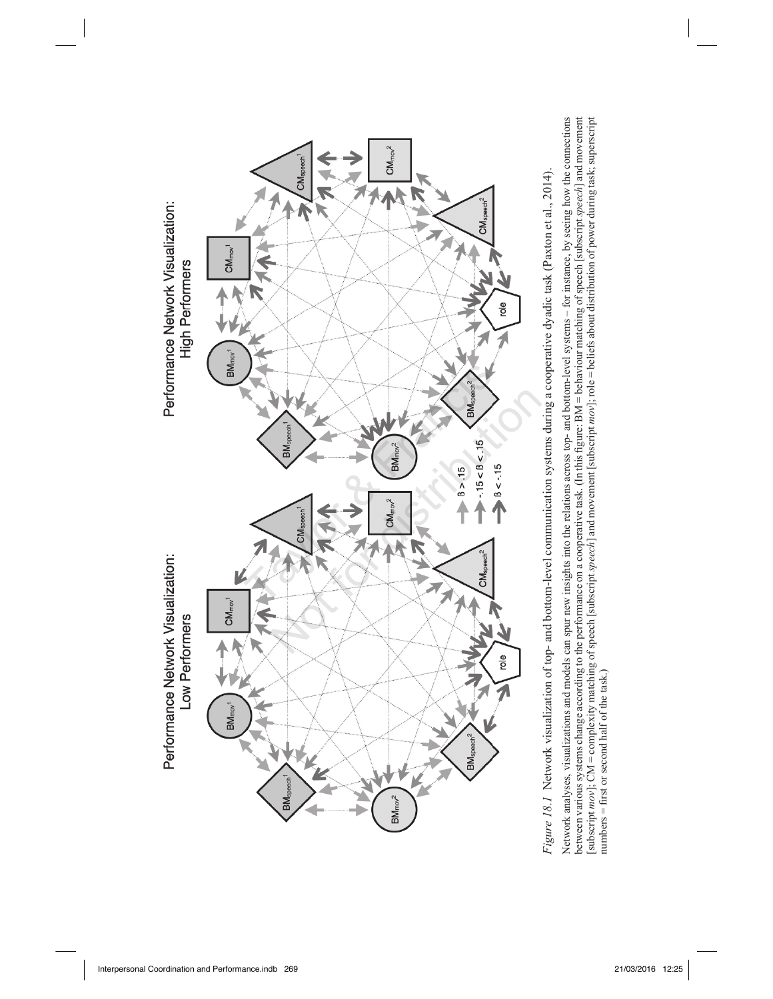



Network analyses, visualizations and models can spur new insights into the relations across top- and bottom-level systems - for instance, by seeing how the connections Network analyses, visualizations and models can spur new insights into the relations across top- and bottom-level systems – for instance, by seeing how the connections between various systems change according to the performance on a cooperative task. (In this figure: BM = behaviour matching of speech [subscript speech] and movement between various systems change according to the performance on a cooperative task. (In this fgure: BM = behaviour matching of speech [subscript *speech*] and movement Subscript mov); CM = complexity matching of speech [subscript speech] and movement [subscript mov]; role = beliefs about distribution of power during task; superscript movement express of speech [subscript speech] and mov [subscript *mov*]; CM = complexity matching of speech [subscript *speech*] and movement [subscript *mov*]; role = beliefs about distribution of power during task; superscript numbers = frst or second half of the task.)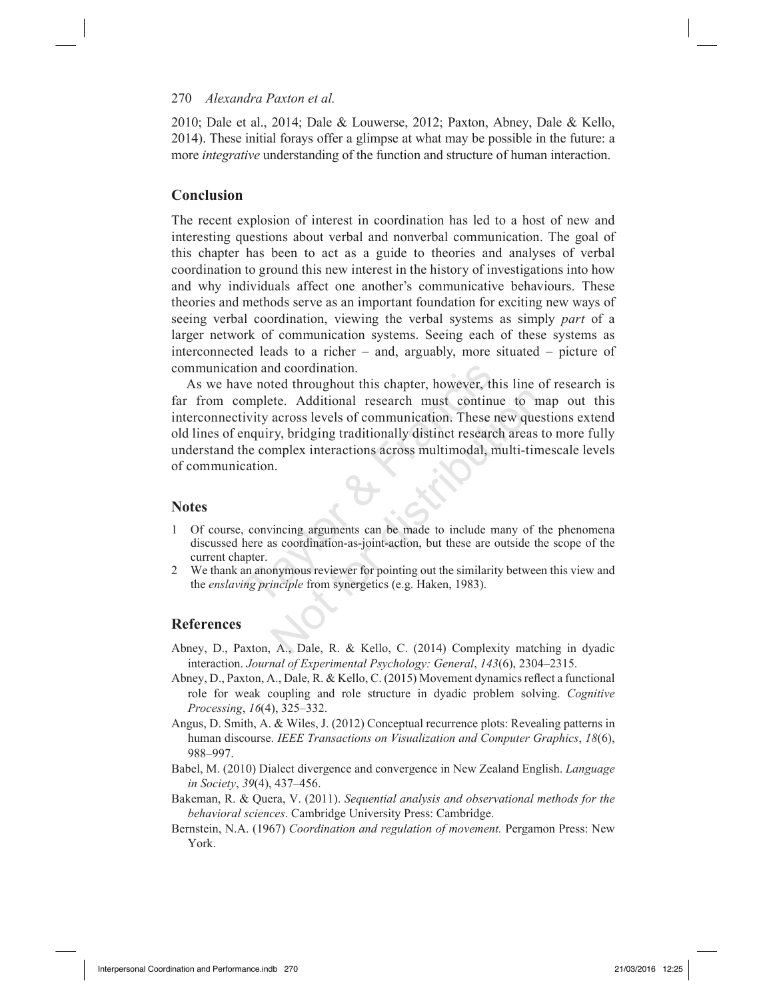2010; Dale et al., 2014; Dale & Louwerse, 2012; Paxton, Abney, Dale & Kello, 2014). These initial forays offer a glimpse at what may be possible in the future: a more *integrative* understanding of the function and structure of human interaction.

# **Conclusion**

The recent explosion of interest in coordination has led to a host of new and interesting questions about verbal and nonverbal communication. The goal of this chapter has been to act as a guide to theories and analyses of verbal coordination to ground this new interest in the history of investigations into how and why individuals affect one another's communicative behaviours. These theories and methods serve as an important foundation for exciting new ways of seeing verbal coordination, viewing the verbal systems as simply *part* of a larger network of communication systems. Seeing each of these systems as interconnected leads to a richer – and, arguably, more situated – picture of communication and coordination.

As we have noted throughout this chapter, however, this line of research is far from complete. Additional research must continue to map out this interconnectivity across levels of communication. These new questions extend old lines of enquiry, bridging traditionally distinct research areas to more fully understand the complex interactions across multimodal, multi-timescale levels of communication. on and coordination.<br>
We noted throughout this chapter, however, this<br>
implete. Additional research must continue<br>
ivity across levels of communication. These no<br>
nquiry, bridging traditionally distinct research<br>
he comple France and state in the state of the continue to m<br>across levels of communication. These new questy, bridging traditionally distinct research areas t<br>mplex interactions across multimodal, multi-tim<br>n.<br>n.<br>tincing arguments

## **Notes**

- 1 Of course, convincing arguments can be made to include many of the phenomena discussed here as coordination-as-joint-action, but these are outside the scope of the current chapter.
- 2 We thank an anonymous reviewer for pointing out the similarity between this view and the *enslaving principle* from synergetics (e.g. Haken, 1983).

# **References**

- Abney, D., Paxton, A., Dale, R. & Kello, C. (2014) Complexity matching in dyadic interaction. *Journal of Experimental Psychology: General*, *143*(6), 2304–2315.
- Abney, D., Paxton, A., Dale, R. & Kello, C. (2015) Movement dynamics refect a functional role for weak coupling and role structure in dyadic problem solving. *Cognitive Processing*, *16*(4), 325–332.
- Angus, D. Smith, A. & Wiles, J. (2012) Conceptual recurrence plots: Revealing patterns in human discourse. *IEEE Transactions on Visualization and Computer Graphics*, *18*(6), 988–997.
- Babel, M. (2010) Dialect divergence and convergence in New Zealand English. *Language in Society*, *39*(4), 437–456.
- Bakeman, R. & Quera, V. (2011). *Sequential analysis and observational methods for the behavioral sciences*. Cambridge University Press: Cambridge.
- Bernstein, N.A. (1967) *Coordination and regulation of movement.* Pergamon Press: New York.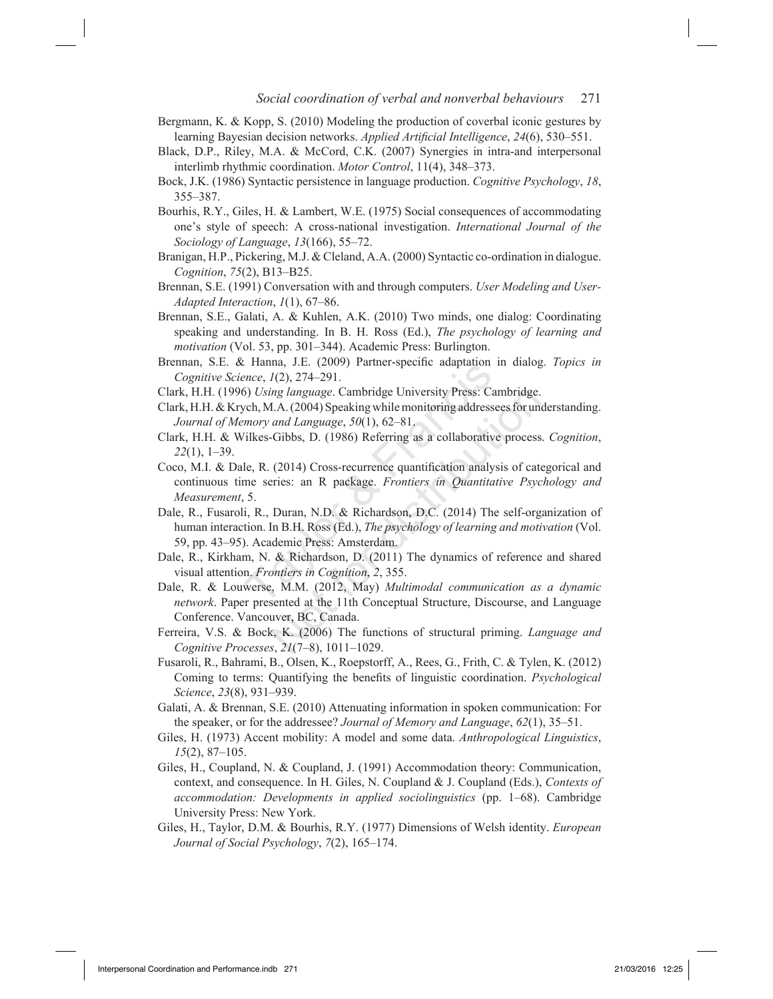- Bergmann, K. & Kopp, S. (2010) Modeling the production of coverbal iconic gestures by learning Bayesian decision networks. *Applied Artifcial Intelligence*, *24*(6), 530–551.
- Black, D.P., Riley, M.A. & McCord, C.K. (2007) Synergies in intra-and interpersonal interlimb rhythmic coordination. *Motor Control*, 11(4), 348–373.
- Bock, J.K. (1986) Syntactic persistence in language production. *Cognitive Psychology*, *18*, 355–387.
- Bourhis, R.Y., Giles, H. & Lambert, W.E. (1975) Social consequences of accommodating one's style of speech: A cross-national investigation. *International Journal of the Sociology of Language*, *13*(166), 55–72.
- Branigan, H.P., Pickering, M.J. & Cleland, A.A. (2000) Syntactic co-ordination in dialogue. *Cognition*, *75*(2), B13–B25.
- Brennan, S.E. (1991) Conversation with and through computers. *User Modeling and User-Adapted Interaction*, *1*(1), 67–86.
- Brennan, S.E., Galati, A. & Kuhlen, A.K. (2010) Two minds, one dialog: Coordinating speaking and understanding. In B. H. Ross (Ed.), *The psychology of learning and motivation* (Vol. 53, pp. 301–344). Academic Press: Burlington.
- Brennan, S.E. & Hanna, J.E. (2009) Partner-specifc adaptation in dialog. *Topics in Cognitive Science*, *1*(2), 274–291.
- Clark, H.H. (1996) *Using language*. Cambridge University Press: Cambridge.
- Clark, H.H. & Krych, M.A. (2004) Speaking while monitoring addressees for understanding. *Journal of Memory and Language*, *50*(1), 62–81.
- Clark, H.H. & Wilkes-Gibbs, D. (1986) Referring as a collaborative process. *Cognition*, *22*(1), 1–39.
- Coco, M.I. & Dale, R. (2014) Cross-recurrence quantifcation analysis of categorical and continuous time series: an R package. *Frontiers in Quantitative Psychology and Measurement*, 5. France,  $I(2)$ ,  $274-291$ .<br>
So Using language. Cambridge University Press: Cance,  $I(2)$ ,  $274-291$ .<br>
So Using language. Cambridge University Press: Cance, M.A. (2004) Speaking while monitoring addresses<br>
mory and Languag *Instanguage.* Cambridge University Press: Cambridge.<br>
1.A. (2004) Speaking while monitoring addressees for une and Language, 50(1), 62–81.<br>
Gibbs, D. (1986) Referring as a collaborative process (2014) Cross-recurrence qu
- Dale, R., Fusaroli, R., Duran, N.D. & Richardson, D.C. (2014) The self-organization of human interaction. In B.H. Ross (Ed.), *The psychology of learning and motivation* (Vol. 59, pp. 43–95). Academic Press: Amsterdam.
- Dale, R., Kirkham, N. & Richardson, D. (2011) The dynamics of reference and shared visual attention. *Frontiers in Cognition*, *2*, 355.
- Dale, R. & Louwerse, M.M. (2012, May) *Multimodal communication as a dynamic network*. Paper presented at the 11th Conceptual Structure, Discourse, and Language Conference. Vancouver, BC, Canada.
- Ferreira, V.S. & Bock, K. (2006) The functions of structural priming. *Language and Cognitive Processes*, *21*(7–8), 1011–1029.
- Fusaroli, R., Bahrami, B., Olsen, K., Roepstorff, A., Rees, G., Frith, C. & Tylen, K. (2012) Coming to terms: Quantifying the benefts of linguistic coordination. *Psychological Science*, *23*(8), 931–939.
- Galati, A. & Brennan, S.E. (2010) Attenuating information in spoken communication: For the speaker, or for the addressee? *Journal of Memory and Language*, *62*(1), 35–51.
- Giles, H. (1973) Accent mobility: A model and some data. *Anthropological Linguistics*, *15*(2), 87–105.
- Giles, H., Coupland, N. & Coupland, J. (1991) Accommodation theory: Communication, context, and consequence. In H. Giles, N. Coupland & J. Coupland (Eds.), *Contexts of accommodation: Developments in applied sociolinguistics* (pp. 1–68). Cambridge University Press: New York.
- Giles, H., Taylor, D.M. & Bourhis, R.Y. (1977) Dimensions of Welsh identity. *European Journal of Social Psychology*, *7*(2), 165–174.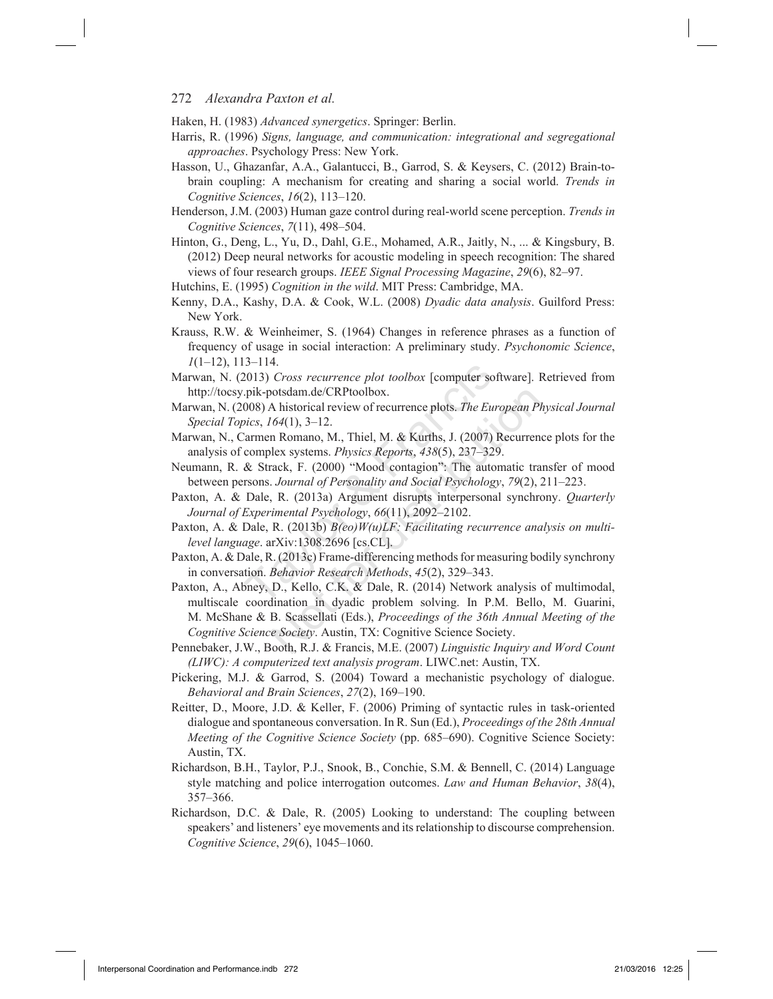Haken, H. (1983) *Advanced synergetics*. Springer: Berlin.

- Harris, R. (1996) *Signs, language, and communication: integrational and segregational approaches*. Psychology Press: New York.
- Hasson, U., Ghazanfar, A.A., Galantucci, B., Garrod, S. & Keysers, C. (2012) Brain-tobrain coupling: A mechanism for creating and sharing a social world. *Trends in Cognitive Sciences*, *16*(2), 113–120.
- Henderson, J.M. (2003) Human gaze control during real-world scene perception. *Trends in Cognitive Sciences*, *7*(11), 498–504.
- Hinton, G., Deng, L., Yu, D., Dahl, G.E., Mohamed, A.R., Jaitly, N., ... & Kingsbury, B. (2012) Deep neural networks for acoustic modeling in speech recognition: The shared views of four research groups. *IEEE Signal Processing Magazine*, *29*(6), 82–97.
- Hutchins, E. (1995) *Cognition in the wild*. MIT Press: Cambridge, MA.
- Kenny, D.A., Kashy, D.A. & Cook, W.L. (2008) *Dyadic data analysis*. Guilford Press: New York.
- Krauss, R.W. & Weinheimer, S. (1964) Changes in reference phrases as a function of frequency of usage in social interaction: A preliminary study. *Psychonomic Science*, *1*(1–12), 113–114.
- Marwan, N. (2013) *Cross recurrence plot toolbox* [computer software]. Retrieved from http://tocsy.pik-potsdam.de/CRPtoolbox.
- Marwan, N. (2008) A historical review of recurrence plots. *The European Physical Journal Special Topics*, *164*(1), 3–12. 3–114.<br>
2013) *Cross recurrence plot toolbox* [computer soft<br>
pik-potsdam.de/CRPtoolbox.<br>
2008) A historical review of recurrence plots. *The Eurcics*,  $164(1)$ ,  $3-12$ .<br>
<sup>1</sup>armen Romano, M., Thiel, M. & Kurths, J. (2007)
- Marwan, N., Carmen Romano, M., Thiel, M. & Kurths, J. (2007) Recurrence plots for the analysis of complex systems. *Physics Reports*, *438*(5), 237–329.
- Neumann, R. & Strack, F. (2000) "Mood contagion": The automatic transfer of mood between persons. *Journal of Personality and Social Psychology*, *79*(2), 211–223.
- Paxton, A. & Dale, R. (2013a) Argument disrupts interpersonal synchrony. *Quarterly Journal of Experimental Psychology*, *66*(11), 2092–2102.
- Paxton, A. & Dale, R. (2013b) *B(eo)W(u)LF: Facilitating recurrence analysis on multilevel language*. arXiv:1308.2696 [cs.CL].
- Paxton, A. & Dale, R. (2013c) Frame-differencing methods for measuring bodily synchrony in conversation. *Behavior Research Methods*, *45*(2), 329–343.
- Paxton, A., Abney, D., Kello, C.K. & Dale, R. (2014) Network analysis of multimodal, multiscale coordination in dyadic problem solving. In P.M. Bello, M. Guarini, M. McShane & B. Scassellati (Eds.), *Proceedings of the 36th Annual Meeting of the Cognitive Science Society*. Austin, TX: Cognitive Science Society. otsdam.de/CRPtoolbox.<br>
A historical review of recurrence plots. *The European Pl* 64(1), 3–12.<br>
In Romano, M., Thiel, M. & Kurths, J. (2007) Recurrence<br>
lex systems. *Physics Reports*, 438(5), 237–329.<br>
rack, F. (2000) "M
- Pennebaker, J.W., Booth, R.J. & Francis, M.E. (2007) *Linguistic Inquiry and Word Count (LIWC): A computerized text analysis program*. LIWC.net: Austin, TX.
- Pickering, M.J. & Garrod, S. (2004) Toward a mechanistic psychology of dialogue. *Behavioral and Brain Sciences*, *27*(2), 169–190.
- Reitter, D., Moore, J.D. & Keller, F. (2006) Priming of syntactic rules in task-oriented dialogue and spontaneous conversation. In R. Sun (Ed.), *Proceedings of the 28th Annual Meeting of the Cognitive Science Society* (pp. 685–690). Cognitive Science Society: Austin, TX.
- Richardson, B.H., Taylor, P.J., Snook, B., Conchie, S.M. & Bennell, C. (2014) Language style matching and police interrogation outcomes. *Law and Human Behavior*, *38*(4), 357–366.
- Richardson, D.C. & Dale, R. (2005) Looking to understand: The coupling between speakers' and listeners' eye movements and its relationship to discourse comprehension. *Cognitive Science*, *29*(6), 1045–1060.